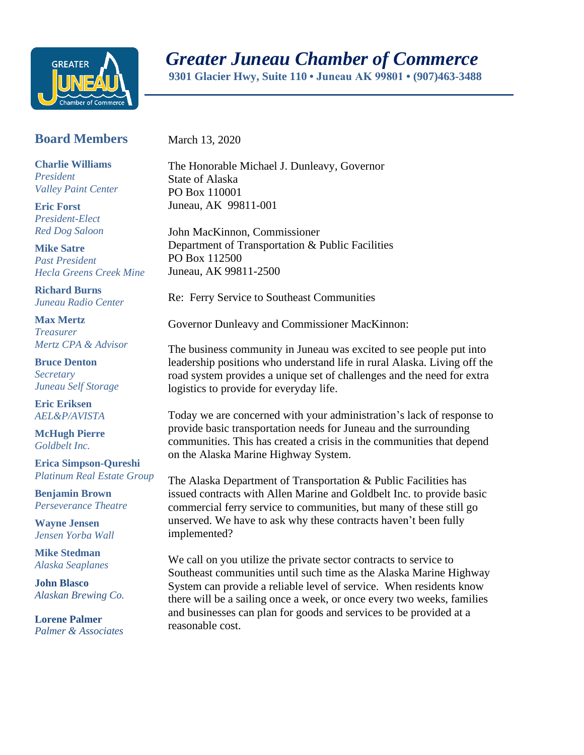

## *Greater Juneau Chamber of Commerce*

 **9301 Glacier Hwy, Suite 110 • Juneau AK 99801 • (907)463-3488** 

## **Board Members**

March 13, 2020

**Charlie Williams** *President Valley Paint Center*

**Eric Forst** *President-Elect Red Dog Saloon*

**Mike Satre**  *Past President Hecla Greens Creek Mine*

**Richard Burns** *Juneau Radio Center*

**Max Mertz** *Treasurer Mertz CPA & Advisor*

**Bruce Denton** *Secretary Juneau Self Storage*

**Eric Eriksen** *AEL&P/AVISTA*

**McHugh Pierre** *Goldbelt Inc.*

**Erica Simpson-Qureshi** *Platinum Real Estate Group*

**Benjamin Brown** *Perseverance Theatre*

**Wayne Jensen** *Jensen Yorba Wall*

**Mike Stedman** *Alaska Seaplanes*

**John Blasco** *Alaskan Brewing Co.*

**Lorene Palmer** *Palmer & Associates*  The Honorable Michael J. Dunleavy, Governor State of Alaska PO Box 110001 Juneau, AK 99811-001

John MacKinnon, Commissioner Department of Transportation & Public Facilities PO Box 112500 Juneau, AK 99811-2500

Re: Ferry Service to Southeast Communities

Governor Dunleavy and Commissioner MacKinnon:

The business community in Juneau was excited to see people put into leadership positions who understand life in rural Alaska. Living off the road system provides a unique set of challenges and the need for extra logistics to provide for everyday life.

Today we are concerned with your administration's lack of response to provide basic transportation needs for Juneau and the surrounding communities. This has created a crisis in the communities that depend on the Alaska Marine Highway System.

The Alaska Department of Transportation & Public Facilities has issued contracts with Allen Marine and Goldbelt Inc. to provide basic commercial ferry service to communities, but many of these still go unserved. We have to ask why these contracts haven't been fully implemented?

We call on you utilize the private sector contracts to service to Southeast communities until such time as the Alaska Marine Highway System can provide a reliable level of service. When residents know there will be a sailing once a week, or once every two weeks, families and businesses can plan for goods and services to be provided at a reasonable cost.